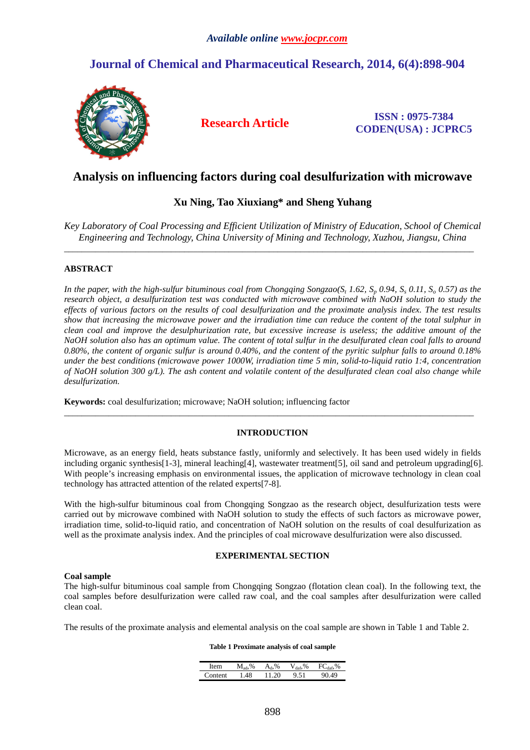# **Journal of Chemical and Pharmaceutical Research, 2014, 6(4):898-904**



**Research Article ISSN : 0975-7384 CODEN(USA) : JCPRC5**

## **Analysis on influencing factors during coal desulfurization with microwave**

## **Xu Ning, Tao Xiuxiang\* and Sheng Yuhang**

*Key Laboratory of Coal Processing and Efficient Utilization of Ministry of Education, School of Chemical Engineering and Technology, China University of Mining and Technology, Xuzhou, Jiangsu, China* 

\_\_\_\_\_\_\_\_\_\_\_\_\_\_\_\_\_\_\_\_\_\_\_\_\_\_\_\_\_\_\_\_\_\_\_\_\_\_\_\_\_\_\_\_\_\_\_\_\_\_\_\_\_\_\_\_\_\_\_\_\_\_\_\_\_\_\_\_\_\_\_\_\_\_\_\_\_\_\_\_\_\_\_\_\_\_\_\_\_\_\_\_

## **ABSTRACT**

In the paper, with the high-sulfur bituminous coal from Chongqing Songzao(S<sub>t</sub> 1.62, S<sub>p</sub> 0.94, S<sub>s</sub> 0.11, S<sub>o</sub> 0.57) as the *research object, a desulfurization test was conducted with microwave combined with NaOH solution to study the effects of various factors on the results of coal desulfurization and the proximate analysis index. The test results show that increasing the microwave power and the irradiation time can reduce the content of the total sulphur in clean coal and improve the desulphurization rate, but excessive increase is useless; the additive amount of the NaOH solution also has an optimum value. The content of total sulfur in the desulfurated clean coal falls to around 0.80%, the content of organic sulfur is around 0.40%, and the content of the pyritic sulphur falls to around 0.18% under the best conditions (microwave power 1000W, irradiation time 5 min, solid-to-liquid ratio 1:4, concentration of NaOH solution 300 g/L). The ash content and volatile content of the desulfurated clean coal also change while desulfurization.* 

**Keywords:** coal desulfurization; microwave; NaOH solution; influencing factor

## **INTRODUCTION**

\_\_\_\_\_\_\_\_\_\_\_\_\_\_\_\_\_\_\_\_\_\_\_\_\_\_\_\_\_\_\_\_\_\_\_\_\_\_\_\_\_\_\_\_\_\_\_\_\_\_\_\_\_\_\_\_\_\_\_\_\_\_\_\_\_\_\_\_\_\_\_\_\_\_\_\_\_\_\_\_\_\_\_\_\_\_\_\_\_\_\_\_

Microwave, as an energy field, heats substance fastly, uniformly and selectively. It has been used widely in fields including organic synthesis[1-3], mineral leaching[4], wastewater treatment[5], oil sand and petroleum upgrading[6]. With people's increasing emphasis on environmental issues, the application of microwave technology in clean coal technology has attracted attention of the related experts[7-8].

With the high-sulfur bituminous coal from Chongqing Songzao as the research object, desulfurization tests were carried out by microwave combined with NaOH solution to study the effects of such factors as microwave power, irradiation time, solid-to-liquid ratio, and concentration of NaOH solution on the results of coal desulfurization as well as the proximate analysis index. And the principles of coal microwave desulfurization were also discussed.

## **EXPERIMENTAL SECTION**

#### **Coal sample**

The high-sulfur bituminous coal sample from Chongqing Songzao (flotation clean coal). In the following text, the coal samples before desulfurization were called raw coal, and the coal samples after desulfurization were called clean coal.

The results of the proximate analysis and elemental analysis on the coal sample are shown in Table 1 and Table 2.

#### **Table 1 Proximate analysis of coal sample**

| em      | $M_{\rm ad.}\%$ | $\%$<br>$A_{d-1}$ | $\rm V_{\rm {daf}},\%$ | $.96^{\circ}$<br><b>FC</b> ase |
|---------|-----------------|-------------------|------------------------|--------------------------------|
| `ontent | 48              | 11.20             | 9.51                   | 49                             |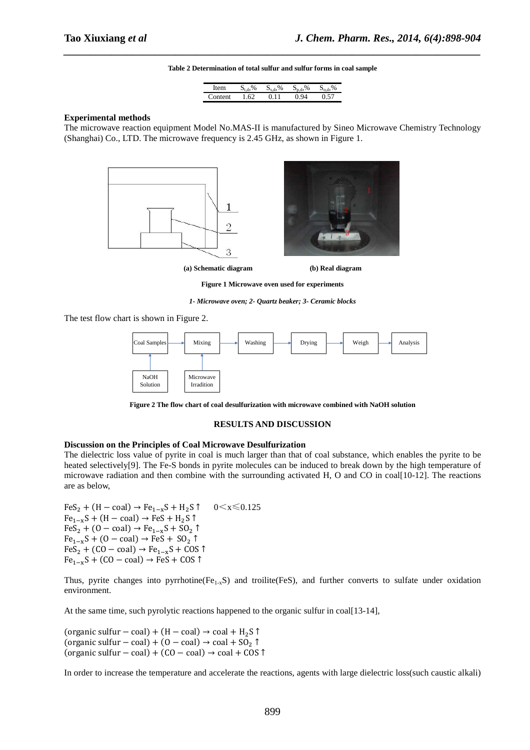# *\_\_\_\_\_\_\_\_\_\_\_\_\_\_\_\_\_\_\_\_\_\_\_\_\_\_\_\_\_\_\_\_\_\_\_\_\_\_\_\_\_\_\_\_\_\_\_\_\_\_\_\_\_\_\_\_\_\_\_\_\_\_\_\_\_\_\_\_\_\_\_\_\_\_\_\_\_\_* **Table 2 Determination of total sulfur and sulfur forms in coal sample**

| em      | $\%$ | $\%$    | $\%$      | $\frac{0}{6}$  |
|---------|------|---------|-----------|----------------|
|         | s. . | . S. 37 | $S \cdot$ | $S_{\rm{cal}}$ |
| :ontent | 62   | -11     | OЛ        |                |

#### **Experimental methods**

The microwave reaction equipment Model No.MAS-II is manufactured by Sineo Microwave Chemistry Technology (Shanghai) Co., LTD. The microwave frequency is 2.45 GHz, as shown in Figure 1.



**(a) Schematic diagram (b) Real diagram** 

**Figure 1 Microwave oven used for experiments** 

*1- Microwave oven; 2- Quartz beaker; 3- Ceramic blocks* 

The test flow chart is shown in Figure 2.



**Figure 2 The flow chart of coal desulfurization with microwave combined with NaOH solution** 

#### **RESULTS AND DISCUSSION**

#### **Discussion on the Principles of Coal Microwave Desulfurization**

The dielectric loss value of pyrite in coal is much larger than that of coal substance, which enables the pyrite to be heated selectively[9]. The Fe-S bonds in pyrite molecules can be induced to break down by the high temperature of microwave radiation and then combine with the surrounding activated H, O and CO in coal[10-12]. The reactions are as below,

FeS<sub>2</sub> + (H – coal) → Fe<sub>1-x</sub>S + H<sub>2</sub>S ↑ 0 < x ≤ 0.125  $Fe_{1-x}S + (H - coal) \rightarrow FeS + H_2S$  ↑  $FeS_2 + (0 - coal) \rightarrow Fe_{1-x}S + SO_2$  ↑  $Fe_{1-x}S + (0 - coal) \rightarrow FeS + SO_2 \uparrow$  $FeS_2 + (CO - coal) \rightarrow Fe_{1-x}S + COS$  ↑  $Fe_{1-x}S + (CO - coal) \rightarrow FeS + COS$  ↑

Thus, pyrite changes into pyrrhotine( $Fe<sub>1-x</sub>S$ ) and troilite( $FeS$ ), and further converts to sulfate under oxidation environment.

At the same time, such pyrolytic reactions happened to the organic sulfur in coal[13-14],

(organic sulfur – coal) + (H – coal)  $\rightarrow$  coal + H<sub>2</sub>S ↑ (organic sulfur – coal) + (0 – coal) → coal + SO<sub>2</sub> ↑ (organic sulfur – coal) + (CO – coal)  $\rightarrow$  coal + COS ↑

In order to increase the temperature and accelerate the reactions, agents with large dielectric loss(such caustic alkali)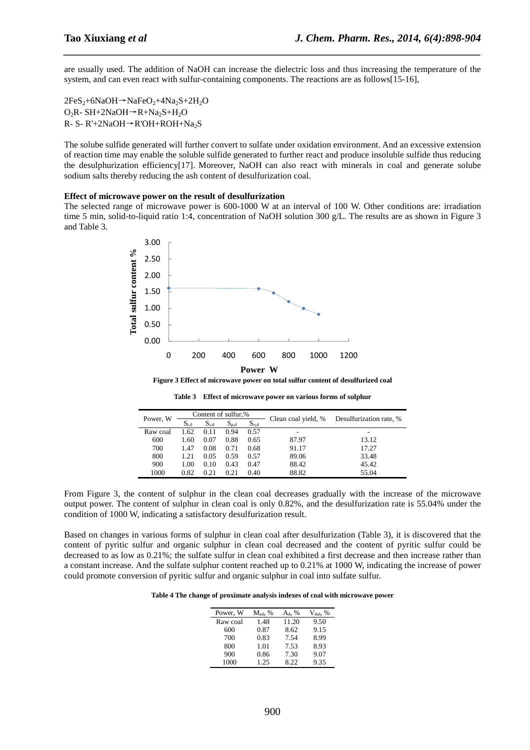are usually used. The addition of NaOH can increase the dielectric loss and thus increasing the temperature of the system, and can even react with sulfur-containing components. The reactions are as follows[15-16],

*\_\_\_\_\_\_\_\_\_\_\_\_\_\_\_\_\_\_\_\_\_\_\_\_\_\_\_\_\_\_\_\_\_\_\_\_\_\_\_\_\_\_\_\_\_\_\_\_\_\_\_\_\_\_\_\_\_\_\_\_\_\_\_\_\_\_\_\_\_\_\_\_\_\_\_\_\_\_*

 $2FeS_2+6NaOH \rightarrow NaFeO_2+4Na_2S+2H_2O$ O<sub>2</sub>R-SH+2NaOH→R+Na<sub>2</sub>S+H<sub>2</sub>O R- S- R'+2NaOH→R'OH+ROH+Na<sub>2</sub>S

The solube sulfide generated will further convert to sulfate under oxidation environment. And an excessive extension of reaction time may enable the soluble sulfide generated to further react and produce insoluble sulfide thus reducing the desulphurization efficiency[17]. Moreover, NaOH can also react with minerals in coal and generate solube sodium salts thereby reducing the ash content of desulfurization coal.

#### **Effect of microwave power on the result of desulfurization**

The selected range of microwave power is 600-1000 W at an interval of 100 W. Other conditions are: irradiation time 5 min, solid-to-liquid ratio 1:4, concentration of NaOH solution 300 g/L. The results are as shown in Figure 3 and Table 3.



**Figure 3 Effect of microwave power on total sulfur content of desulfurized coal** 

**Table 3 Effect of microwave power on various forms of sulphur** 

| Power, W |           |           | Content of sulfur,% |           | Clean coal yield, % | Desulfurization rate, % |  |
|----------|-----------|-----------|---------------------|-----------|---------------------|-------------------------|--|
|          | $S_{t,d}$ | $S_{s,d}$ | $S_{p,d}$           | $S_{o,d}$ |                     |                         |  |
| Raw coal | 1.62      | 0.11      | 0.94                | 0.57      | -                   |                         |  |
| 600      | 1.60      | 0.07      | 0.88                | 0.65      | 87.97               | 13.12                   |  |
| 700      | 1.47      | 0.08      | 0.71                | 0.68      | 91.17               | 17.27                   |  |
| 800      | 1.21      | 0.05      | 0.59                | 0.57      | 89.06               | 33.48                   |  |
| 900      | 1.00      | 0.10      | 0.43                | 0.47      | 88.42               | 45.42                   |  |
| 1000     | 0.82      | 0.21      | 0.21                | 0.40      | 88.82               | 55.04                   |  |

From Figure 3, the content of sulphur in the clean coal decreases gradually with the increase of the microwave output power. The content of sulphur in clean coal is only 0.82%, and the desulfurization rate is 55.04% under the condition of 1000 W, indicating a satisfactory desulfurization result.

Based on changes in various forms of sulphur in clean coal after desulfurization (Table 3), it is discovered that the content of pyritic sulfur and organic sulphur in clean coal decreased and the content of pyritic sulfur could be decreased to as low as 0.21%; the sulfate sulfur in clean coal exhibited a first decrease and then increase rather than a constant increase. And the sulfate sulphur content reached up to 0.21% at 1000 W, indicating the increase of power could promote conversion of pyritic sulfur and organic sulphur in coal into sulfate sulfur.

**Table 4 The change of proximate analysis indexes of coal with microwave power** 

| Power, W | $M_{\text{ad}}$ , % | $A_d, %$ | $V_{\text{daf}}$ , % |
|----------|---------------------|----------|----------------------|
| Raw coal | 1.48                | 11.20    | 9.50                 |
| 600      | 0.87                | 8.62     | 9.15                 |
| 700      | 0.83                | 7.54     | 8.99                 |
| 800      | 1.01                | 7.53     | 8.93                 |
| 900      | 0.86                | 7.30     | 9.07                 |
| 1000     | 1.25                | 8.22     | 9.35                 |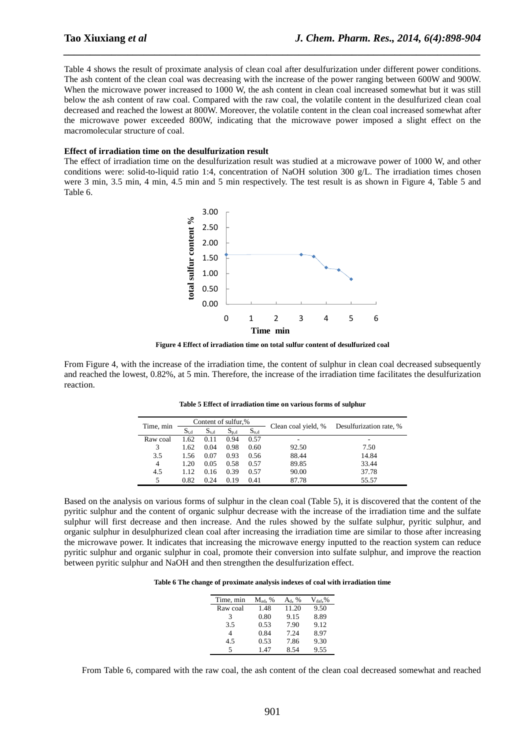Table 4 shows the result of proximate analysis of clean coal after desulfurization under different power conditions. The ash content of the clean coal was decreasing with the increase of the power ranging between 600W and 900W. When the microwave power increased to 1000 W, the ash content in clean coal increased somewhat but it was still below the ash content of raw coal. Compared with the raw coal, the volatile content in the desulfurized clean coal decreased and reached the lowest at 800W. Moreover, the volatile content in the clean coal increased somewhat after the microwave power exceeded 800W, indicating that the microwave power imposed a slight effect on the macromolecular structure of coal.

*\_\_\_\_\_\_\_\_\_\_\_\_\_\_\_\_\_\_\_\_\_\_\_\_\_\_\_\_\_\_\_\_\_\_\_\_\_\_\_\_\_\_\_\_\_\_\_\_\_\_\_\_\_\_\_\_\_\_\_\_\_\_\_\_\_\_\_\_\_\_\_\_\_\_\_\_\_\_*

### **Effect of irradiation time on the desulfurization result**

The effect of irradiation time on the desulfurization result was studied at a microwave power of 1000 W, and other conditions were: solid-to-liquid ratio 1:4, concentration of NaOH solution 300  $g/L$ . The irradiation times chosen were 3 min, 3.5 min, 4 min, 4.5 min and 5 min respectively. The test result is as shown in Figure 4, Table 5 and Table 6.



**Figure 4 Effect of irradiation time on total sulfur content of desulfurized coal** 

From Figure 4, with the increase of the irradiation time, the content of sulphur in clean coal decreased subsequently and reached the lowest, 0.82%, at 5 min. Therefore, the increase of the irradiation time facilitates the desulfurization reaction.

|                |           | Content of sulfur,% |           |           |                     |                         |  |
|----------------|-----------|---------------------|-----------|-----------|---------------------|-------------------------|--|
| Time, min      | $S_{t,d}$ | $S_{s,d}$           | $S_{p,d}$ | $S_{o,d}$ | Clean coal yield, % | Desulfurization rate, % |  |
| Raw coal       | 1.62      | 0.11                | 0.94      | 0.57      |                     | $\qquad \qquad$         |  |
| 3              | 1.62      | 0.04                | 0.98      | 0.60      | 92.50               | 7.50                    |  |
| 3.5            | 1.56      | 0.07                | 0.93      | 0.56      | 88.44               | 14.84                   |  |
| $\overline{4}$ | 1.20      | 0.05                | 0.58      | 0.57      | 89.85               | 33.44                   |  |
| 4.5            | 1.12      | 0.16                | 0.39      | 0.57      | 90.00               | 37.78                   |  |
| 5              | 0.82      | 0.24                | 0.19      | 0.41      | 87.78               | 55.57                   |  |

**Table 5 Effect of irradiation time on various forms of sulphur** 

Based on the analysis on various forms of sulphur in the clean coal (Table 5), it is discovered that the content of the pyritic sulphur and the content of organic sulphur decrease with the increase of the irradiation time and the sulfate sulphur will first decrease and then increase. And the rules showed by the sulfate sulphur, pyritic sulphur, and organic sulphur in desulphurized clean coal after increasing the irradiation time are similar to those after increasing the microwave power. It indicates that increasing the microwave energy inputted to the reaction system can reduce pyritic sulphur and organic sulphur in coal, promote their conversion into sulfate sulphur, and improve the reaction between pyritic sulphur and NaOH and then strengthen the desulfurization effect.

**Table 6 The change of proximate analysis indexes of coal with irradiation time** 

| Time, min | $M_{\rm ad}$ , % | $A_d, %$ | $\rm V_{\rm dof.}\%$ |
|-----------|------------------|----------|----------------------|
| Raw coal  | 1.48             | 11.20    | 9.50                 |
| 3         | 0.80             | 9.15     | 8.89                 |
| 3.5       | 0.53             | 7.90     | 9.12                 |
| 4         | 0.84             | 7.24     | 8.97                 |
| 4.5       | 0.53             | 7.86     | 9.30                 |
| 5         | 1 47             | 8.54     | 9.55                 |

From Table 6, compared with the raw coal, the ash content of the clean coal decreased somewhat and reached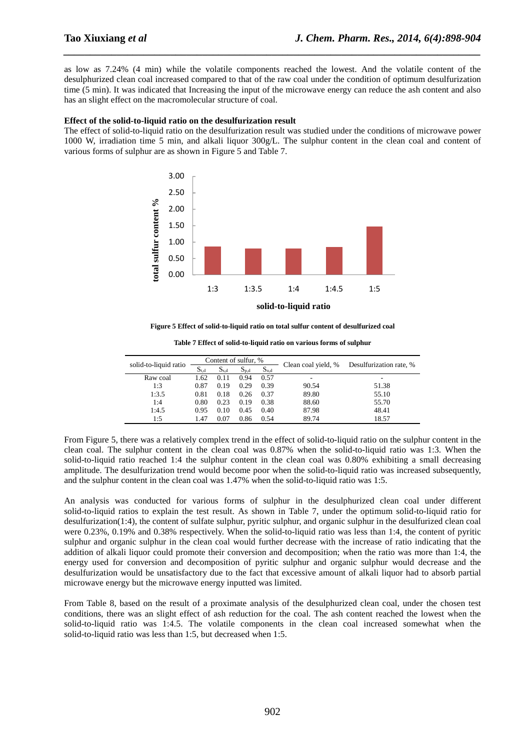as low as 7.24% (4 min) while the volatile components reached the lowest. And the volatile content of the desulphurized clean coal increased compared to that of the raw coal under the condition of optimum desulfurization time (5 min). It was indicated that Increasing the input of the microwave energy can reduce the ash content and also has an slight effect on the macromolecular structure of coal.

*\_\_\_\_\_\_\_\_\_\_\_\_\_\_\_\_\_\_\_\_\_\_\_\_\_\_\_\_\_\_\_\_\_\_\_\_\_\_\_\_\_\_\_\_\_\_\_\_\_\_\_\_\_\_\_\_\_\_\_\_\_\_\_\_\_\_\_\_\_\_\_\_\_\_\_\_\_\_*

#### **Effect of the solid-to-liquid ratio on the desulfurization result**

The effect of solid-to-liquid ratio on the desulfurization result was studied under the conditions of microwave power 1000 W, irradiation time 5 min, and alkali liquor 300g/L. The sulphur content in the clean coal and content of various forms of sulphur are as shown in Figure 5 and Table 7.



**Figure 5 Effect of solid-to-liquid ratio on total sulfur content of desulfurized coal** 

| solid-to-liquid ratio | Content of sulfur, % |           |           |           | Clean coal yield, % | Desulfurization rate, % |  |
|-----------------------|----------------------|-----------|-----------|-----------|---------------------|-------------------------|--|
|                       | $S_{t,d}$            | $S_{s,d}$ | $S_{p,d}$ | $S_{o,d}$ |                     |                         |  |
| Raw coal              | 1.62                 | 0.11      | 0.94      | 0.57      | ۰                   | -                       |  |
| 1:3                   | 0.87                 | 0.19      | 0.29      | 0.39      | 90.54               | 51.38                   |  |
| 1:3.5                 | 0.81                 | 0.18      | 0.26      | 0.37      | 89.80               | 55.10                   |  |
| 1:4                   | 0.80                 | 0.23      | 0.19      | 0.38      | 88.60               | 55.70                   |  |
| 1:4.5                 | 0.95                 | 0.10      | 0.45      | 0.40      | 87.98               | 48.41                   |  |
| 1:5                   | .47                  | 0.07      | 0.86      | 0.54      | 89.74               | 18.57                   |  |
|                       |                      |           |           |           |                     |                         |  |

**Table 7 Effect of solid-to-liquid ratio on various forms of sulphur** 

From Figure 5, there was a relatively complex trend in the effect of solid-to-liquid ratio on the sulphur content in the clean coal. The sulphur content in the clean coal was 0.87% when the solid-to-liquid ratio was 1:3. When the solid-to-liquid ratio reached 1:4 the sulphur content in the clean coal was 0.80% exhibiting a small decreasing amplitude. The desulfurization trend would become poor when the solid-to-liquid ratio was increased subsequently, and the sulphur content in the clean coal was 1.47% when the solid-to-liquid ratio was 1:5.

An analysis was conducted for various forms of sulphur in the desulphurized clean coal under different solid-to-liquid ratios to explain the test result. As shown in Table 7, under the optimum solid-to-liquid ratio for desulfurization(1:4), the content of sulfate sulphur, pyritic sulphur, and organic sulphur in the desulfurized clean coal were 0.23%, 0.19% and 0.38% respectively. When the solid-to-liquid ratio was less than 1:4, the content of pyritic sulphur and organic sulphur in the clean coal would further decrease with the increase of ratio indicating that the addition of alkali liquor could promote their conversion and decomposition; when the ratio was more than 1:4, the energy used for conversion and decomposition of pyritic sulphur and organic sulphur would decrease and the desulfurization would be unsatisfactory due to the fact that excessive amount of alkali liquor had to absorb partial microwave energy but the microwave energy inputted was limited.

From Table 8, based on the result of a proximate analysis of the desulphurized clean coal, under the chosen test conditions, there was an slight effect of ash reduction for the coal. The ash content reached the lowest when the solid-to-liquid ratio was 1:4.5. The volatile components in the clean coal increased somewhat when the solid-to-liquid ratio was less than 1:5, but decreased when 1:5.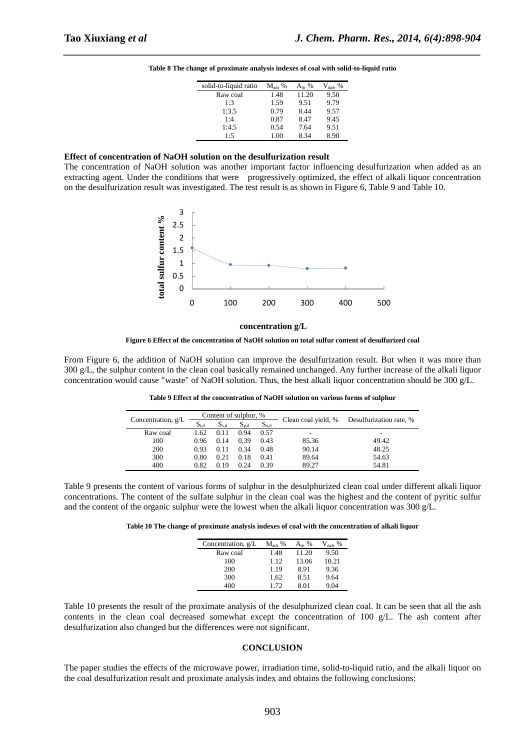| solid-to-liquid ratio | $M_{\text{ad}}$ , % | $A_{d}$ , % | $V_{\text{daf}}$ , % |
|-----------------------|---------------------|-------------|----------------------|
| Raw coal              | 1.48                | 11.20       | 9.50                 |
| 1:3                   | 1.59                | 9.51        | 9.79                 |
| 1:3.5                 | 0.79                | 8.44        | 9.57                 |
| 1:4                   | 0.87                | 8.47        | 9.45                 |
| 1:4.5                 | 0.54                | 7.64        | 9.51                 |
| 1:5                   | 1.00                | 8.34        | 8.90                 |
|                       |                     |             |                      |

*\_\_\_\_\_\_\_\_\_\_\_\_\_\_\_\_\_\_\_\_\_\_\_\_\_\_\_\_\_\_\_\_\_\_\_\_\_\_\_\_\_\_\_\_\_\_\_\_\_\_\_\_\_\_\_\_\_\_\_\_\_\_\_\_\_\_\_\_\_\_\_\_\_\_\_\_\_\_* **Table 8 The change of proximate analysis indexes of coal with solid-to-liquid ratio** 

### **Effect of concentration of NaOH solution on the desulfurization result**

The concentration of NaOH solution was another important factor influencing desulfurization when added as an extracting agent. Under the conditions that were progressively optimized, the effect of alkali liquor concentration on the desulfurization result was investigated. The test result is as shown in Figure 6, Table 9 and Table 10.



**concentration g/L**

**Figure 6 Effect of the concentration of NaOH solution on total sulfur content of desulfurized coal** 

From Figure 6, the addition of NaOH solution can improve the desulfurization result. But when it was more than 300 g/L, the sulphur content in the clean coal basically remained unchanged. Any further increase of the alkali liquor concentration would cause "waste" of NaOH solution. Thus, the best alkali liquor concentration should be 300 g/L.

|                      |           | Content of sulphur, % |           |                                  |       |                         |  |
|----------------------|-----------|-----------------------|-----------|----------------------------------|-------|-------------------------|--|
| Concentration, $g/L$ | $S_{t,d}$ | $S_{\rm sd}$          | $D_{p,d}$ | Clean coal yield, %<br>$S_{o,d}$ |       | Desulfurization rate, % |  |
| Raw coal             | 1.62      | 0.11                  | 0.94      | 0.57                             | -     | -                       |  |
| 100                  | 0.96      | 0.14                  | 0.39      | 0.43                             | 85.36 | 49.42                   |  |
| 200                  | 0.93      | 0.11                  | 0.34      | 0.48                             | 90.14 | 48.25                   |  |
| 300                  | 0.80      | 0.21                  | 0.18      | 0.41                             | 89.64 | 54.63                   |  |
| 400                  | 0.82      | 0.19                  | 0.24      | 0.39                             | 89.27 | 54.81                   |  |

**Table 9 Effect of the concentration of NaOH solution on various forms of sulphur** 

Table 9 presents the content of various forms of sulphur in the desulphurized clean coal under different alkali liquor concentrations. The content of the sulfate sulphur in the clean coal was the highest and the content of pyritic sulfur and the content of the organic sulphur were the lowest when the alkali liquor concentration was 300  $g/L$ .

**Table 10 The change of proximate analysis indexes of coal with the concentration of alkali liquor** 

| Concentration, g/L | $M_{\text{ad}}$ , % | $A_{d}$ , % | $V_{\text{daf}}$ , % |
|--------------------|---------------------|-------------|----------------------|
| Raw coal           | 1.48                | 11.20       | 9.50                 |
| 100                | 1.12                | 13.06       | 10.21                |
| 200                | 1.19                | 8.91        | 9.36                 |
| 300                | 1.62                | 8.51        | 9.64                 |
| 400                | 1.72                | 8.01        | 9.04                 |

Table 10 presents the result of the proximate analysis of the desulphurized clean coal. It can be seen that all the ash contents in the clean coal decreased somewhat except the concentration of 100 g/L. The ash content after desulfurization also changed but the differences were not significant.

## **CONCLUSION**

The paper studies the effects of the microwave power, irradiation time, solid-to-liquid ratio, and the alkali liquor on the coal desulfurization result and proximate analysis index and obtains the following conclusions: